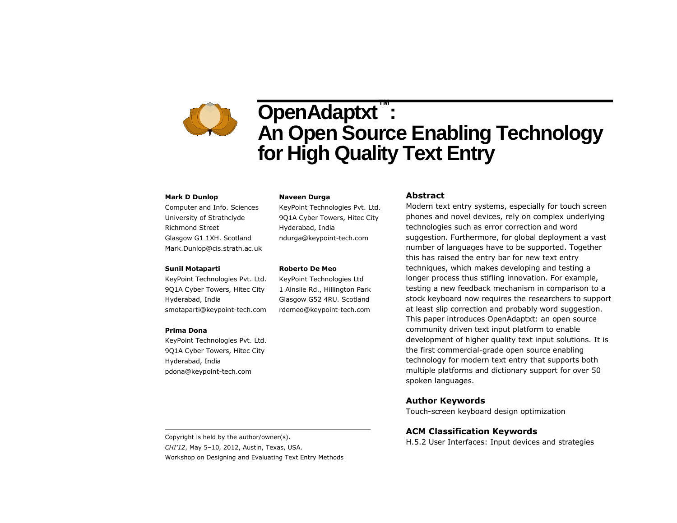# **OpenAdaptxt™ : An Open Source Enabling Technology for High Quality Text Entry**

#### **Mark D Dunlop**

Computer and Info. Sciences University of Strathclyde Richmond Street Glasgow G1 1XH. Scotland Mark.Dunlop@cis.strath.ac.uk

#### **Sunil Motaparti**

KeyPoint Technologies Pvt. Ltd. 9Q1A Cyber Towers, Hitec City Hyderabad, India smotaparti@keypoint-tech.com

#### **Prima Dona**

KeyPoint Technologies Pvt. Ltd. 9Q1A Cyber Towers, Hitec City Hyderabad, India pdona@keypoint-tech.com

#### **Naveen Durga**

KeyPoint Technologies Pvt. Ltd. 9Q1A Cyber Towers, Hitec City Hyderabad, India ndurga@keypoint-tech.com

#### **Roberto De Meo**

KeyPoint Technologies Ltd 1 Ainslie Rd., Hillington Park Glasgow G52 4RU. Scotland rdemeo@keypoint-tech.com

#### **Abstract**

Modern text entry systems, especially for touch screen phones and novel devices, rely on complex underlying technologies such as error correction and word suggestion. Furthermore, for global deployment a vast number of languages have to be supported. Together this has raised the entry bar for new text entry techniques, which makes developing and testing a longer process thus stifling innovation. For example, testing a new feedback mechanism in comparison to a stock keyboard now requires the researchers to support at least slip correction and probably word suggestion. This paper introduces OpenAdaptxt: an open source community driven text input platform to enable development of higher quality text input solutions. It is the first commercial-grade open source enabling technology for modern text entry that supports both multiple platforms and dictionary support for over 50 spoken languages.

### **Author Keywords**

Touch-screen keyboard design optimization

# **ACM Classification Keywords**

H.5.2 User Interfaces: Input devices and strategies

Copyright is held by the author/owner(s). *CHI'12*, May 5–10, 2012, Austin, Texas, USA. Workshop on Designing and Evaluating Text Entry Methods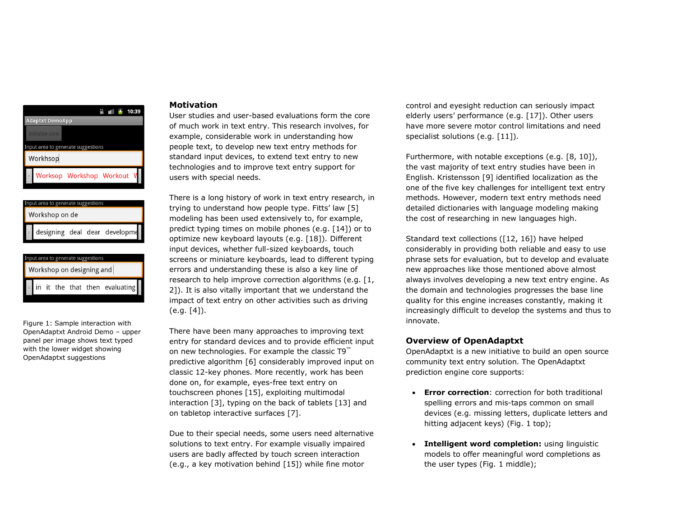# 盖 Ⅲ <del>9</del> 10:39 **Adaptxt DemoApp** nput area to generate suggestions Workhsop Worksop Workshop Workout



| Input area to generate suggestions |  |  |  |  |  |                                         |
|------------------------------------|--|--|--|--|--|-----------------------------------------|
| Workshop on designing and          |  |  |  |  |  |                                         |
|                                    |  |  |  |  |  |                                         |
|                                    |  |  |  |  |  | $\lvert$ in it the that then evaluating |

Figure 1: Sample interaction with OpenAdaptxt Android Demo – upper panel per image shows text typed with the lower widget showing OpenAdaptxt suggestions

## **Motivation**

User studies and user-based evaluations form the core of much work in text entry. This research involves, for example, considerable work in understanding how people text, to develop new text entry methods for standard input devices, to extend text entry to new technologies and to improve text entry support for users with special needs.

There is a long history of work in text entry research, in trying to understand how people type. Fitts' law [\[5\]](#page-3-0) modeling has been used extensively to, for example, predict typing times on mobile phones (e.g. [\[14\]](#page-3-1)) or to optimize new keyboard layouts (e.g. [\[18\]](#page-3-2)). Different input devices, whether full-sized keyboards, touch screens or miniature keyboards, lead to different typing errors and understanding these is also a key line of research to help improve correction algorithms (e.g. [\[1,](#page-3-3) [2\]](#page-3-4)). It is also vitally important that we understand the impact of text entry on other activities such as driving (e.g. [\[4\]](#page-3-5)).

There have been many approaches to improving text entry for standard devices and to provide efficient input on new technologies. For example the classic T9™ predictive algorithm [\[6\]](#page-3-6) considerably improved input on classic 12-key phones. More recently, work has been done on, for example, eyes-free text entry on touchscreen phones [\[15\]](#page-3-7), exploiting multimodal interaction [\[3\]](#page-3-8), typing on the back of tablets [\[13\]](#page-3-9) and on tabletop interactive surfaces [\[7\]](#page-3-10).

Due to their special needs, some users need alternative solutions to text entry. For example visually impaired users are badly affected by touch screen interaction (e.g., a key motivation behind [\[15\]](#page-3-7)) while fine motor

control and eyesight reduction can seriously impact elderly users' performance (e.g. [\[17\]](#page-3-11)). Other users have more severe motor control limitations and need specialist solutions (e.g. [\[11\]](#page-3-12)).

Furthermore, with notable exceptions (e.g. [\[8,](#page-3-13) [10\]](#page-3-14)), the vast majority of text entry studies have been in English. Kristensson [\[9\]](#page-3-15) identified localization as the one of the five key challenges for intelligent text entry methods. However, modern text entry methods need detailed dictionaries with language modeling making the cost of researching in new languages high.

Standard text collections ([\[12,](#page-3-16) [16\]](#page-3-17)) have helped considerably in providing both reliable and easy to use phrase sets for evaluation, but to develop and evaluate new approaches like those mentioned above almost always involves developing a new text entry engine. As the domain and technologies progresses the base line quality for this engine increases constantly, making it increasingly difficult to develop the systems and thus to innovate.

# **Overview of OpenAdaptxt**

OpenAdaptxt is a new initiative to build an open source community text entry solution. The OpenAdaptxt prediction engine core supports:

- **Error correction**: correction for both traditional spelling errors and mis-taps common on small devices (e.g. missing letters, duplicate letters and hitting adjacent keys) (Fig. 1 top);
- **Intelligent word completion:** using linguistic models to offer meaningful word completions as the user types (Fig. 1 middle);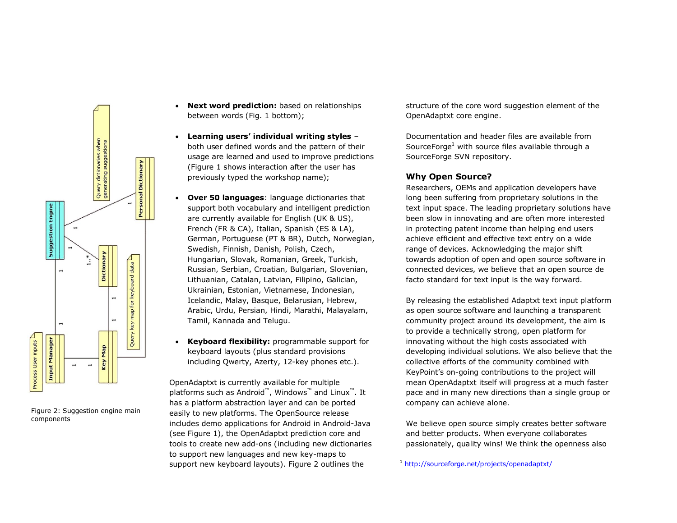

Figure 2: Suggestion engine main components

- **Next word prediction:** based on relationships between words (Fig. 1 bottom);
- **Learning users' individual writing styles** both user defined words and the pattern of their usage are learned and used to improve predictions (Figure 1 shows interaction after the user has previously typed the workshop name);
- **Over 50 languages**: language dictionaries that support both vocabulary and intelligent prediction are currently available for English (UK & US), French (FR & CA), Italian, Spanish (ES & LA), German, Portuguese (PT & BR), Dutch, Norwegian, Swedish, Finnish, Danish, Polish, Czech, Hungarian, Slovak, Romanian, Greek, Turkish, Russian, Serbian, Croatian, Bulgarian, Slovenian, Lithuanian, Catalan, Latvian, Filipino, Galician, Ukrainian, Estonian, Vietnamese, Indonesian, Icelandic, Malay, Basque, Belarusian, Hebrew, Arabic, Urdu, Persian, Hindi, Marathi, Malayalam, Tamil, Kannada and Telugu.
- **Keyboard flexibility:** programmable support for keyboard layouts (plus standard provisions including Qwerty, Azerty, 12-key phones etc.).

OpenAdaptxt is currently available for multiple platforms such as Android™, Windows™ and Linux™. It has a platform abstraction layer and can be ported easily to new platforms. The OpenSource release includes demo applications for Android in Android-Java (see Figure 1), the OpenAdaptxt prediction core and tools to create new add-ons (including new dictionaries to support new languages and new key-maps to support new keyboard layouts). Figure 2 outlines the

structure of the core word suggestion element of the OpenAdaptxt core engine.

Documentation and header files are available from SourceForge<sup>1</sup> with source files available through a SourceForge SVN repository.

# **Why Open Source?**

Researchers, OEMs and application developers have long been suffering from proprietary solutions in the text input space. The leading proprietary solutions have been slow in innovating and are often more interested in protecting patent income than helping end users achieve efficient and effective text entry on a wide range of devices. Acknowledging the major shift towards adoption of open and open source software in connected devices, we believe that an open source de facto standard for text input is the way forward.

By releasing the established Adaptxt text input platform as open source software and launching a transparent community project around its development, the aim is to provide a technically strong, open platform for innovating without the high costs associated with developing individual solutions. We also believe that the collective efforts of the community combined with KeyPoint's on-going contributions to the project will mean OpenAdaptxt itself will progress at a much faster pace and in many new directions than a single group or company can achieve alone.

We believe open source simply creates better software and better products. When everyone collaborates passionately, quality wins! We think the openness also

-

<sup>1</sup> <http://sourceforge.net/projects/openadaptxt/>